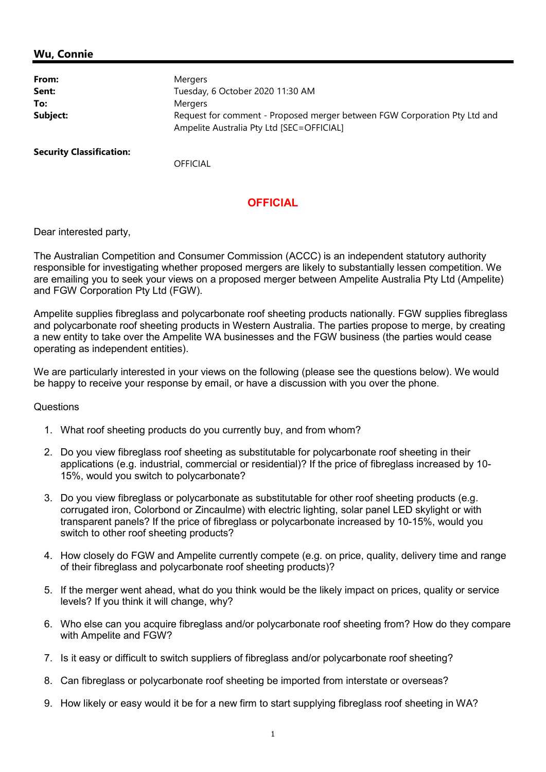## Wu, Connie

| From:    | <b>Mergers</b>                                                                                                         |
|----------|------------------------------------------------------------------------------------------------------------------------|
| Sent:    | Tuesday, 6 October 2020 11:30 AM                                                                                       |
| To:      | Mergers                                                                                                                |
| Subject: | Request for comment - Proposed merger between FGW Corporation Pty Ltd and<br>Ampelite Australia Pty Ltd [SEC=OFFICIAL] |

Security Classification:

**OFFICIAL** 

## **OFFICIAL**

Dear interested party,

The Australian Competition and Consumer Commission (ACCC) is an independent statutory authority responsible for investigating whether proposed mergers are likely to substantially lessen competition. We are emailing you to seek your views on a proposed merger between Ampelite Australia Pty Ltd (Ampelite) and FGW Corporation Pty Ltd (FGW).

Ampelite supplies fibreglass and polycarbonate roof sheeting products nationally. FGW supplies fibreglass and polycarbonate roof sheeting products in Western Australia. The parties propose to merge, by creating a new entity to take over the Ampelite WA businesses and the FGW business (the parties would cease operating as independent entities).

We are particularly interested in your views on the following (please see the questions below). We would be happy to receive your response by email, or have a discussion with you over the phone.

## **Questions**

- 1. What roof sheeting products do you currently buy, and from whom?
- 2. Do you view fibreglass roof sheeting as substitutable for polycarbonate roof sheeting in their applications (e.g. industrial, commercial or residential)? If the price of fibreglass increased by 10- 15%, would you switch to polycarbonate?
- 3. Do you view fibreglass or polycarbonate as substitutable for other roof sheeting products (e.g. corrugated iron, Colorbond or Zincaulme) with electric lighting, solar panel LED skylight or with transparent panels? If the price of fibreglass or polycarbonate increased by 10-15%, would you switch to other roof sheeting products?
- 4. How closely do FGW and Ampelite currently compete (e.g. on price, quality, delivery time and range of their fibreglass and polycarbonate roof sheeting products)?
- 5. If the merger went ahead, what do you think would be the likely impact on prices, quality or service levels? If you think it will change, why?
- 6. Who else can you acquire fibreglass and/or polycarbonate roof sheeting from? How do they compare with Ampelite and FGW?
- 7. Is it easy or difficult to switch suppliers of fibreglass and/or polycarbonate roof sheeting?
- 8. Can fibreglass or polycarbonate roof sheeting be imported from interstate or overseas?
- 9. How likely or easy would it be for a new firm to start supplying fibreglass roof sheeting in WA?